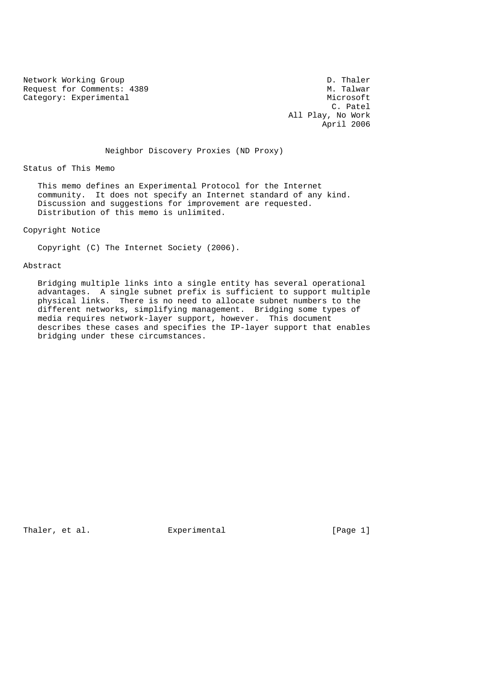Network Working Group<br>Request for Comments: 4389 N. Talwar Request for Comments: 4389 Category: Experimental Microsoft Microsoft Microsoft Microsoft Microsoft Microsoft Microsoft Microsoft Microsoft Microsoft Microsoft Microsoft Microsoft Microsoft Microsoft Microsoft Microsoft Microsoft Microsoft Microsoft

 C. Patel All Play, No Work April 2006

# Neighbor Discovery Proxies (ND Proxy)

Status of This Memo

 This memo defines an Experimental Protocol for the Internet community. It does not specify an Internet standard of any kind. Discussion and suggestions for improvement are requested. Distribution of this memo is unlimited.

Copyright Notice

Copyright (C) The Internet Society (2006).

Abstract

 Bridging multiple links into a single entity has several operational advantages. A single subnet prefix is sufficient to support multiple physical links. There is no need to allocate subnet numbers to the different networks, simplifying management. Bridging some types of media requires network-layer support, however. This document describes these cases and specifies the IP-layer support that enables bridging under these circumstances.

Thaler, et al. Experimental Formula (Page 1)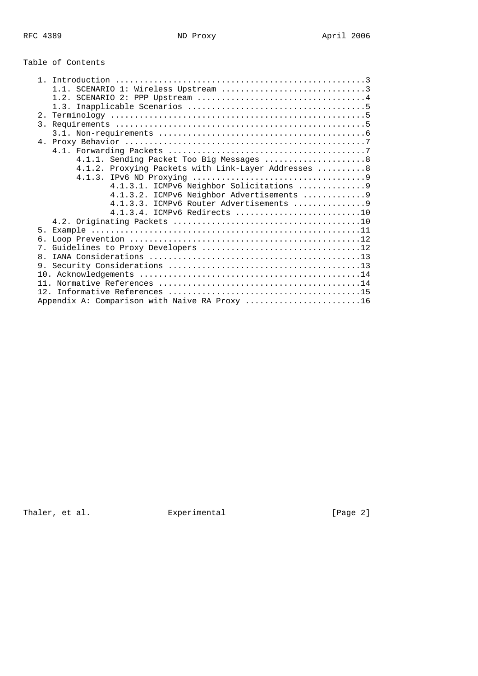Table of Contents

| 4.1.1. Sending Packet Too Big Messages  8            |  |
|------------------------------------------------------|--|
| 4.1.2. Proxying Packets with Link-Layer Addresses  8 |  |
|                                                      |  |
| 4.1.3.1. ICMPv6 Neighbor Solicitations 9             |  |
| 4.1.3.2. ICMPv6 Neighbor Advertisements  9           |  |
|                                                      |  |
| 4.1.3.4. ICMPv6 Redirects 10                         |  |
|                                                      |  |
| 5 <sub>1</sub>                                       |  |
| б.                                                   |  |
|                                                      |  |
| $\mathsf{R}$                                         |  |
| 9.                                                   |  |
|                                                      |  |
| 11                                                   |  |
|                                                      |  |
| Appendix A: Comparison with Naive RA Proxy 16        |  |

Thaler, et al. experimental Experimental [Page 2]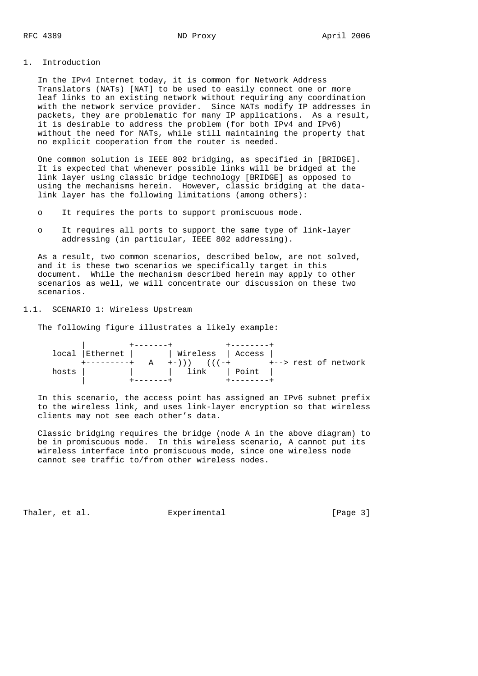## 1. Introduction

 In the IPv4 Internet today, it is common for Network Address Translators (NATs) [NAT] to be used to easily connect one or more leaf links to an existing network without requiring any coordination with the network service provider. Since NATs modify IP addresses in packets, they are problematic for many IP applications. As a result, it is desirable to address the problem (for both IPv4 and IPv6) without the need for NATs, while still maintaining the property that no explicit cooperation from the router is needed.

 One common solution is IEEE 802 bridging, as specified in [BRIDGE]. It is expected that whenever possible links will be bridged at the link layer using classic bridge technology [BRIDGE] as opposed to using the mechanisms herein. However, classic bridging at the data link layer has the following limitations (among others):

- o It requires the ports to support promiscuous mode.
- o It requires all ports to support the same type of link-layer addressing (in particular, IEEE 802 addressing).

 As a result, two common scenarios, described below, are not solved, and it is these two scenarios we specifically target in this document. While the mechanism described herein may apply to other scenarios as well, we will concentrate our discussion on these two scenarios.

## 1.1. SCENARIO 1: Wireless Upstream

The following figure illustrates a likely example:

|       | local Ethernet     Wireless   Access |              |                                      |  |  |
|-------|--------------------------------------|--------------|--------------------------------------|--|--|
|       |                                      |              | A +-))) (((-+   +--> rest of network |  |  |
| hosts |                                      | link   Point |                                      |  |  |
|       |                                      |              |                                      |  |  |

 In this scenario, the access point has assigned an IPv6 subnet prefix to the wireless link, and uses link-layer encryption so that wireless clients may not see each other's data.

 Classic bridging requires the bridge (node A in the above diagram) to be in promiscuous mode. In this wireless scenario, A cannot put its wireless interface into promiscuous mode, since one wireless node cannot see traffic to/from other wireless nodes.

Thaler, et al.  $\Box$  Experimental  $\Box$  [Page 3]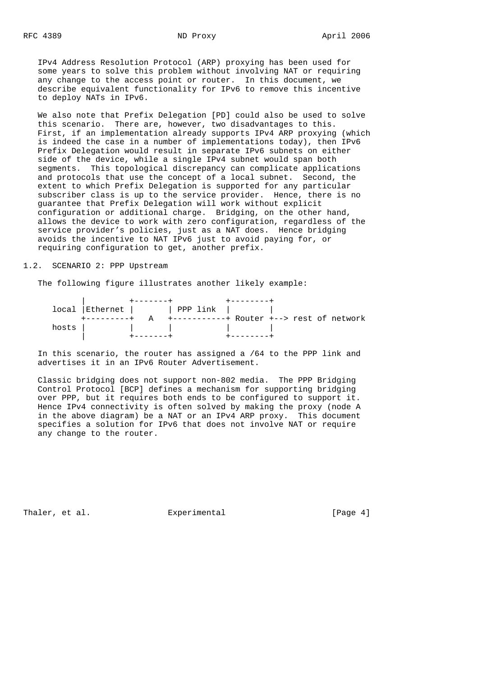IPv4 Address Resolution Protocol (ARP) proxying has been used for some years to solve this problem without involving NAT or requiring any change to the access point or router. In this document, we describe equivalent functionality for IPv6 to remove this incentive to deploy NATs in IPv6.

 We also note that Prefix Delegation [PD] could also be used to solve this scenario. There are, however, two disadvantages to this. First, if an implementation already supports IPv4 ARP proxying (which is indeed the case in a number of implementations today), then IPv6 Prefix Delegation would result in separate IPv6 subnets on either side of the device, while a single IPv4 subnet would span both segments. This topological discrepancy can complicate applications and protocols that use the concept of a local subnet. Second, the extent to which Prefix Delegation is supported for any particular subscriber class is up to the service provider. Hence, there is no guarantee that Prefix Delegation will work without explicit configuration or additional charge. Bridging, on the other hand, allows the device to work with zero configuration, regardless of the service provider's policies, just as a NAT does. Hence bridging avoids the incentive to NAT IPv6 just to avoid paying for, or requiring configuration to get, another prefix.

#### 1.2. SCENARIO 2: PPP Upstream

The following figure illustrates another likely example:

|       |  | local Ethernet   PPP link                 |  |
|-------|--|-------------------------------------------|--|
|       |  | +-----------+ Router +--> rest of network |  |
| hosts |  |                                           |  |
|       |  |                                           |  |

 In this scenario, the router has assigned a /64 to the PPP link and advertises it in an IPv6 Router Advertisement.

 Classic bridging does not support non-802 media. The PPP Bridging Control Protocol [BCP] defines a mechanism for supporting bridging over PPP, but it requires both ends to be configured to support it. Hence IPv4 connectivity is often solved by making the proxy (node A in the above diagram) be a NAT or an IPv4 ARP proxy. This document specifies a solution for IPv6 that does not involve NAT or require any change to the router.

Thaler, et al.  $\Box$  Experimental  $\Box$  [Page 4]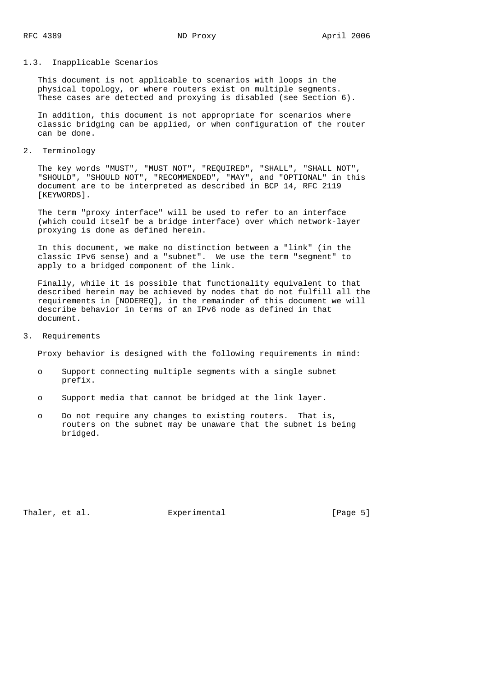#### 1.3. Inapplicable Scenarios

 This document is not applicable to scenarios with loops in the physical topology, or where routers exist on multiple segments. These cases are detected and proxying is disabled (see Section 6).

 In addition, this document is not appropriate for scenarios where classic bridging can be applied, or when configuration of the router can be done.

## 2. Terminology

 The key words "MUST", "MUST NOT", "REQUIRED", "SHALL", "SHALL NOT", "SHOULD", "SHOULD NOT", "RECOMMENDED", "MAY", and "OPTIONAL" in this document are to be interpreted as described in BCP 14, RFC 2119 [KEYWORDS].

 The term "proxy interface" will be used to refer to an interface (which could itself be a bridge interface) over which network-layer proxying is done as defined herein.

 In this document, we make no distinction between a "link" (in the classic IPv6 sense) and a "subnet". We use the term "segment" to apply to a bridged component of the link.

 Finally, while it is possible that functionality equivalent to that described herein may be achieved by nodes that do not fulfill all the requirements in [NODEREQ], in the remainder of this document we will describe behavior in terms of an IPv6 node as defined in that document.

## 3. Requirements

Proxy behavior is designed with the following requirements in mind:

- o Support connecting multiple segments with a single subnet prefix.
- o Support media that cannot be bridged at the link layer.
- o Do not require any changes to existing routers. That is, routers on the subnet may be unaware that the subnet is being bridged.

Thaler, et al. Experimental Experimental [Page 5]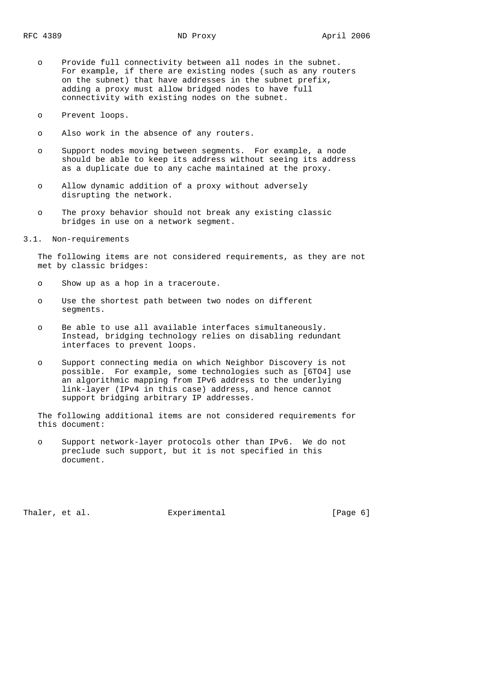- o Provide full connectivity between all nodes in the subnet. For example, if there are existing nodes (such as any routers on the subnet) that have addresses in the subnet prefix, adding a proxy must allow bridged nodes to have full connectivity with existing nodes on the subnet.
- o Prevent loops.
- o Also work in the absence of any routers.
- o Support nodes moving between segments. For example, a node should be able to keep its address without seeing its address as a duplicate due to any cache maintained at the proxy.
- o Allow dynamic addition of a proxy without adversely disrupting the network.
- o The proxy behavior should not break any existing classic bridges in use on a network segment.
- 3.1. Non-requirements

 The following items are not considered requirements, as they are not met by classic bridges:

- o Show up as a hop in a traceroute.
- o Use the shortest path between two nodes on different segments.
- o Be able to use all available interfaces simultaneously. Instead, bridging technology relies on disabling redundant interfaces to prevent loops.
- o Support connecting media on which Neighbor Discovery is not possible. For example, some technologies such as [6TO4] use an algorithmic mapping from IPv6 address to the underlying link-layer (IPv4 in this case) address, and hence cannot support bridging arbitrary IP addresses.

 The following additional items are not considered requirements for this document:

 o Support network-layer protocols other than IPv6. We do not preclude such support, but it is not specified in this document.

Thaler, et al. Experimental Experimental [Page 6]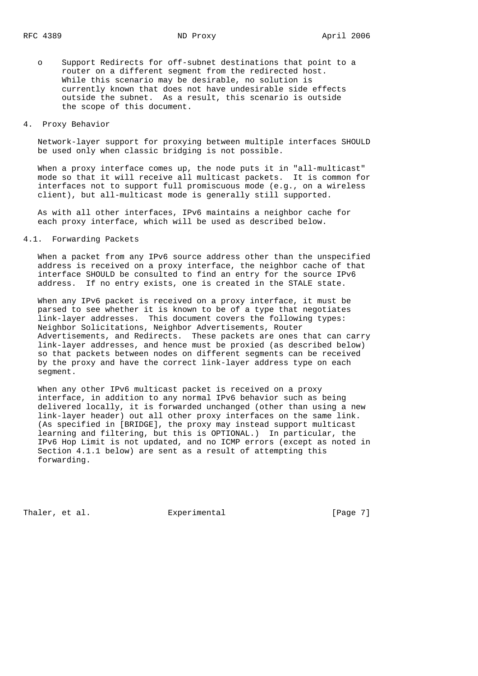o Support Redirects for off-subnet destinations that point to a router on a different segment from the redirected host. While this scenario may be desirable, no solution is currently known that does not have undesirable side effects outside the subnet. As a result, this scenario is outside the scope of this document.

## 4. Proxy Behavior

 Network-layer support for proxying between multiple interfaces SHOULD be used only when classic bridging is not possible.

 When a proxy interface comes up, the node puts it in "all-multicast" mode so that it will receive all multicast packets. It is common for interfaces not to support full promiscuous mode (e.g., on a wireless client), but all-multicast mode is generally still supported.

 As with all other interfaces, IPv6 maintains a neighbor cache for each proxy interface, which will be used as described below.

#### 4.1. Forwarding Packets

 When a packet from any IPv6 source address other than the unspecified address is received on a proxy interface, the neighbor cache of that interface SHOULD be consulted to find an entry for the source IPv6 address. If no entry exists, one is created in the STALE state.

 When any IPv6 packet is received on a proxy interface, it must be parsed to see whether it is known to be of a type that negotiates link-layer addresses. This document covers the following types: Neighbor Solicitations, Neighbor Advertisements, Router Advertisements, and Redirects. These packets are ones that can carry link-layer addresses, and hence must be proxied (as described below) so that packets between nodes on different segments can be received by the proxy and have the correct link-layer address type on each segment.

 When any other IPv6 multicast packet is received on a proxy interface, in addition to any normal IPv6 behavior such as being delivered locally, it is forwarded unchanged (other than using a new link-layer header) out all other proxy interfaces on the same link. (As specified in [BRIDGE], the proxy may instead support multicast learning and filtering, but this is OPTIONAL.) In particular, the IPv6 Hop Limit is not updated, and no ICMP errors (except as noted in Section 4.1.1 below) are sent as a result of attempting this forwarding.

Thaler, et al. Experimental Experimental [Page 7]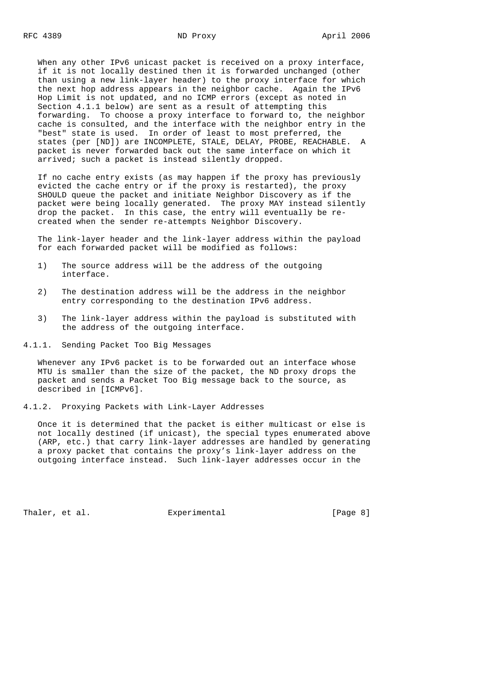When any other IPv6 unicast packet is received on a proxy interface, if it is not locally destined then it is forwarded unchanged (other than using a new link-layer header) to the proxy interface for which the next hop address appears in the neighbor cache. Again the IPv6 Hop Limit is not updated, and no ICMP errors (except as noted in Section 4.1.1 below) are sent as a result of attempting this forwarding. To choose a proxy interface to forward to, the neighbor cache is consulted, and the interface with the neighbor entry in the "best" state is used. In order of least to most preferred, the states (per [ND]) are INCOMPLETE, STALE, DELAY, PROBE, REACHABLE. A packet is never forwarded back out the same interface on which it arrived; such a packet is instead silently dropped.

 If no cache entry exists (as may happen if the proxy has previously evicted the cache entry or if the proxy is restarted), the proxy SHOULD queue the packet and initiate Neighbor Discovery as if the packet were being locally generated. The proxy MAY instead silently drop the packet. In this case, the entry will eventually be re created when the sender re-attempts Neighbor Discovery.

 The link-layer header and the link-layer address within the payload for each forwarded packet will be modified as follows:

- 1) The source address will be the address of the outgoing interface.
- 2) The destination address will be the address in the neighbor entry corresponding to the destination IPv6 address.
- 3) The link-layer address within the payload is substituted with the address of the outgoing interface.
- 4.1.1. Sending Packet Too Big Messages

 Whenever any IPv6 packet is to be forwarded out an interface whose MTU is smaller than the size of the packet, the ND proxy drops the packet and sends a Packet Too Big message back to the source, as described in [ICMPv6].

4.1.2. Proxying Packets with Link-Layer Addresses

 Once it is determined that the packet is either multicast or else is not locally destined (if unicast), the special types enumerated above (ARP, etc.) that carry link-layer addresses are handled by generating a proxy packet that contains the proxy's link-layer address on the outgoing interface instead. Such link-layer addresses occur in the

Thaler, et al. Experimental Experimental [Page 8]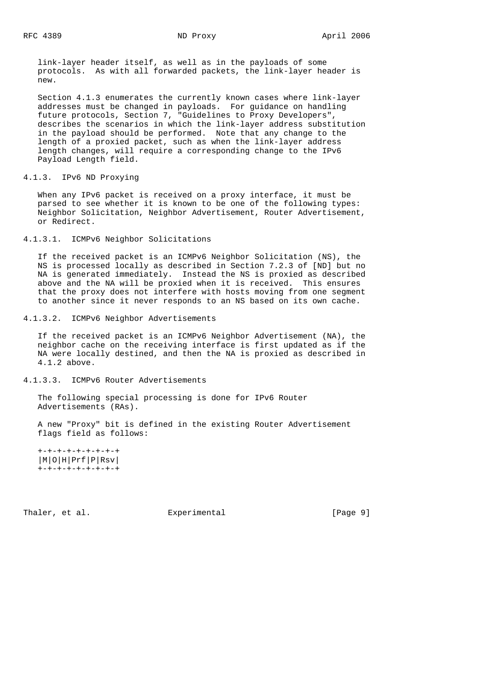link-layer header itself, as well as in the payloads of some protocols. As with all forwarded packets, the link-layer header is new.

 Section 4.1.3 enumerates the currently known cases where link-layer addresses must be changed in payloads. For guidance on handling future protocols, Section 7, "Guidelines to Proxy Developers", describes the scenarios in which the link-layer address substitution in the payload should be performed. Note that any change to the length of a proxied packet, such as when the link-layer address length changes, will require a corresponding change to the IPv6 Payload Length field.

4.1.3. IPv6 ND Proxying

 When any IPv6 packet is received on a proxy interface, it must be parsed to see whether it is known to be one of the following types: Neighbor Solicitation, Neighbor Advertisement, Router Advertisement, or Redirect.

4.1.3.1. ICMPv6 Neighbor Solicitations

 If the received packet is an ICMPv6 Neighbor Solicitation (NS), the NS is processed locally as described in Section 7.2.3 of [ND] but no NA is generated immediately. Instead the NS is proxied as described above and the NA will be proxied when it is received. This ensures that the proxy does not interfere with hosts moving from one segment to another since it never responds to an NS based on its own cache.

4.1.3.2. ICMPv6 Neighbor Advertisements

 If the received packet is an ICMPv6 Neighbor Advertisement (NA), the neighbor cache on the receiving interface is first updated as if the NA were locally destined, and then the NA is proxied as described in 4.1.2 above.

4.1.3.3. ICMPv6 Router Advertisements

 The following special processing is done for IPv6 Router Advertisements (RAs).

 A new "Proxy" bit is defined in the existing Router Advertisement flags field as follows:

 +-+-+-+-+-+-+-+-+ |M|O|H|Prf|P|Rsv| +-+-+-+-+-+-+-+-+

Thaler, et al. Experimental Experimental [Page 9]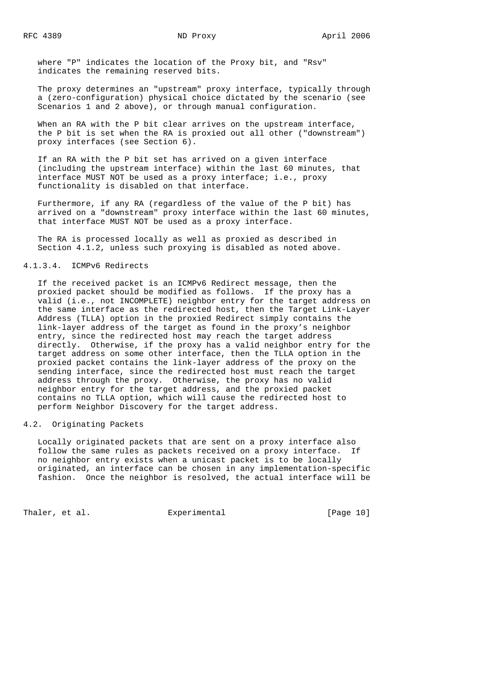where "P" indicates the location of the Proxy bit, and "Rsv" indicates the remaining reserved bits.

 The proxy determines an "upstream" proxy interface, typically through a (zero-configuration) physical choice dictated by the scenario (see Scenarios 1 and 2 above), or through manual configuration.

 When an RA with the P bit clear arrives on the upstream interface, the P bit is set when the RA is proxied out all other ("downstream") proxy interfaces (see Section 6).

 If an RA with the P bit set has arrived on a given interface (including the upstream interface) within the last 60 minutes, that interface MUST NOT be used as a proxy interface; i.e., proxy functionality is disabled on that interface.

 Furthermore, if any RA (regardless of the value of the P bit) has arrived on a "downstream" proxy interface within the last 60 minutes, that interface MUST NOT be used as a proxy interface.

 The RA is processed locally as well as proxied as described in Section 4.1.2, unless such proxying is disabled as noted above.

## 4.1.3.4. ICMPv6 Redirects

 If the received packet is an ICMPv6 Redirect message, then the proxied packet should be modified as follows. If the proxy has a valid (i.e., not INCOMPLETE) neighbor entry for the target address on the same interface as the redirected host, then the Target Link-Layer Address (TLLA) option in the proxied Redirect simply contains the link-layer address of the target as found in the proxy's neighbor entry, since the redirected host may reach the target address directly. Otherwise, if the proxy has a valid neighbor entry for the target address on some other interface, then the TLLA option in the proxied packet contains the link-layer address of the proxy on the sending interface, since the redirected host must reach the target address through the proxy. Otherwise, the proxy has no valid neighbor entry for the target address, and the proxied packet contains no TLLA option, which will cause the redirected host to perform Neighbor Discovery for the target address.

# 4.2. Originating Packets

 Locally originated packets that are sent on a proxy interface also follow the same rules as packets received on a proxy interface. If no neighbor entry exists when a unicast packet is to be locally originated, an interface can be chosen in any implementation-specific fashion. Once the neighbor is resolved, the actual interface will be

Thaler, et al.  $\qquad \qquad$  Experimental  $\qquad \qquad$  [Page 10]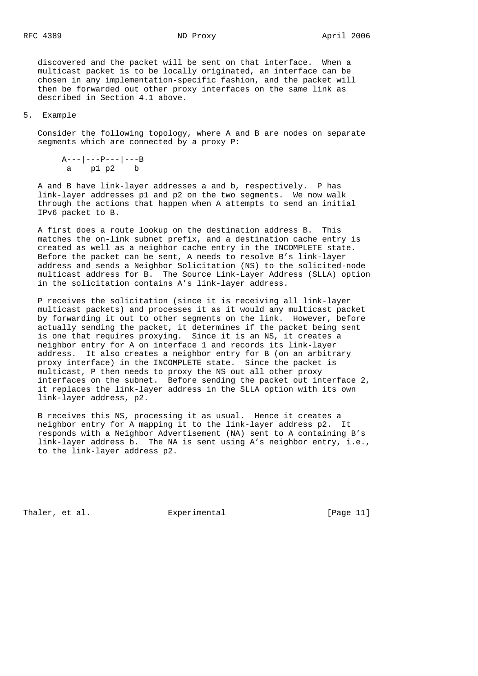discovered and the packet will be sent on that interface. When a multicast packet is to be locally originated, an interface can be chosen in any implementation-specific fashion, and the packet will then be forwarded out other proxy interfaces on the same link as described in Section 4.1 above.

## 5. Example

 Consider the following topology, where A and B are nodes on separate segments which are connected by a proxy P:

 $A---|---P---|---B$ a p1 p2 b

 A and B have link-layer addresses a and b, respectively. P has link-layer addresses p1 and p2 on the two segments. We now walk through the actions that happen when A attempts to send an initial IPv6 packet to B.

 A first does a route lookup on the destination address B. This matches the on-link subnet prefix, and a destination cache entry is created as well as a neighbor cache entry in the INCOMPLETE state. Before the packet can be sent, A needs to resolve B's link-layer address and sends a Neighbor Solicitation (NS) to the solicited-node multicast address for B. The Source Link-Layer Address (SLLA) option in the solicitation contains A's link-layer address.

 P receives the solicitation (since it is receiving all link-layer multicast packets) and processes it as it would any multicast packet by forwarding it out to other segments on the link. However, before actually sending the packet, it determines if the packet being sent is one that requires proxying. Since it is an NS, it creates a neighbor entry for A on interface 1 and records its link-layer address. It also creates a neighbor entry for B (on an arbitrary proxy interface) in the INCOMPLETE state. Since the packet is multicast, P then needs to proxy the NS out all other proxy interfaces on the subnet. Before sending the packet out interface 2, it replaces the link-layer address in the SLLA option with its own link-layer address, p2.

 B receives this NS, processing it as usual. Hence it creates a neighbor entry for A mapping it to the link-layer address p2. It responds with a Neighbor Advertisement (NA) sent to A containing B's link-layer address b. The NA is sent using A's neighbor entry, i.e., to the link-layer address p2.

Thaler, et al. Experimental [Page 11]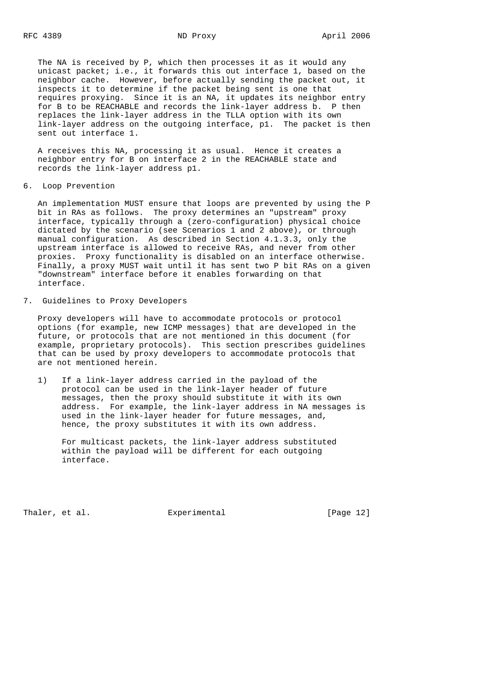The NA is received by P, which then processes it as it would any unicast packet; i.e., it forwards this out interface 1, based on the neighbor cache. However, before actually sending the packet out, it inspects it to determine if the packet being sent is one that requires proxying. Since it is an NA, it updates its neighbor entry for B to be REACHABLE and records the link-layer address b. P then replaces the link-layer address in the TLLA option with its own link-layer address on the outgoing interface, p1. The packet is then sent out interface 1.

 A receives this NA, processing it as usual. Hence it creates a neighbor entry for B on interface 2 in the REACHABLE state and records the link-layer address p1.

6. Loop Prevention

 An implementation MUST ensure that loops are prevented by using the P bit in RAs as follows. The proxy determines an "upstream" proxy interface, typically through a (zero-configuration) physical choice dictated by the scenario (see Scenarios 1 and 2 above), or through manual configuration. As described in Section 4.1.3.3, only the upstream interface is allowed to receive RAs, and never from other proxies. Proxy functionality is disabled on an interface otherwise. Finally, a proxy MUST wait until it has sent two P bit RAs on a given "downstream" interface before it enables forwarding on that interface.

7. Guidelines to Proxy Developers

 Proxy developers will have to accommodate protocols or protocol options (for example, new ICMP messages) that are developed in the future, or protocols that are not mentioned in this document (for example, proprietary protocols). This section prescribes guidelines that can be used by proxy developers to accommodate protocols that are not mentioned herein.

 1) If a link-layer address carried in the payload of the protocol can be used in the link-layer header of future messages, then the proxy should substitute it with its own address. For example, the link-layer address in NA messages is used in the link-layer header for future messages, and, hence, the proxy substitutes it with its own address.

 For multicast packets, the link-layer address substituted within the payload will be different for each outgoing interface.

Thaler, et al.  $\qquad \qquad$  Experimental  $\qquad \qquad$  [Page 12]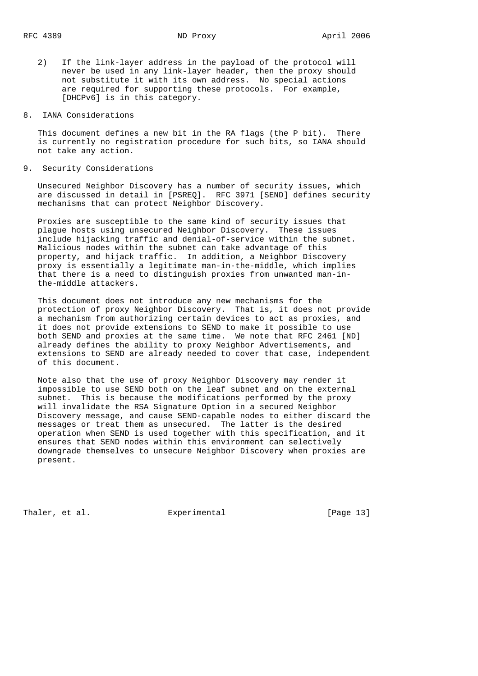- 2) If the link-layer address in the payload of the protocol will never be used in any link-layer header, then the proxy should not substitute it with its own address. No special actions are required for supporting these protocols. For example, [DHCPv6] is in this category.
- 8. IANA Considerations

 This document defines a new bit in the RA flags (the P bit). There is currently no registration procedure for such bits, so IANA should not take any action.

9. Security Considerations

 Unsecured Neighbor Discovery has a number of security issues, which are discussed in detail in [PSREQ]. RFC 3971 [SEND] defines security mechanisms that can protect Neighbor Discovery.

 Proxies are susceptible to the same kind of security issues that plague hosts using unsecured Neighbor Discovery. These issues include hijacking traffic and denial-of-service within the subnet. Malicious nodes within the subnet can take advantage of this property, and hijack traffic. In addition, a Neighbor Discovery proxy is essentially a legitimate man-in-the-middle, which implies that there is a need to distinguish proxies from unwanted man-in the-middle attackers.

 This document does not introduce any new mechanisms for the protection of proxy Neighbor Discovery. That is, it does not provide a mechanism from authorizing certain devices to act as proxies, and it does not provide extensions to SEND to make it possible to use both SEND and proxies at the same time. We note that RFC 2461 [ND] already defines the ability to proxy Neighbor Advertisements, and extensions to SEND are already needed to cover that case, independent of this document.

 Note also that the use of proxy Neighbor Discovery may render it impossible to use SEND both on the leaf subnet and on the external subnet. This is because the modifications performed by the proxy will invalidate the RSA Signature Option in a secured Neighbor Discovery message, and cause SEND-capable nodes to either discard the messages or treat them as unsecured. The latter is the desired operation when SEND is used together with this specification, and it ensures that SEND nodes within this environment can selectively downgrade themselves to unsecure Neighbor Discovery when proxies are present.

Thaler, et al. **Experimental** [Page 13]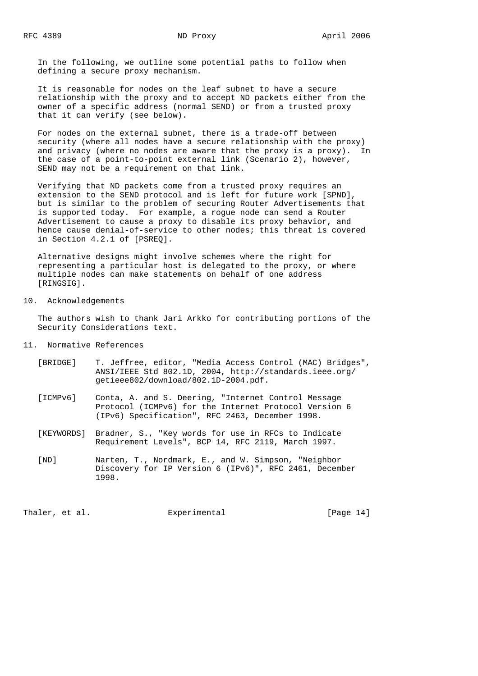In the following, we outline some potential paths to follow when defining a secure proxy mechanism.

 It is reasonable for nodes on the leaf subnet to have a secure relationship with the proxy and to accept ND packets either from the owner of a specific address (normal SEND) or from a trusted proxy that it can verify (see below).

 For nodes on the external subnet, there is a trade-off between security (where all nodes have a secure relationship with the proxy) and privacy (where no nodes are aware that the proxy is a proxy). In the case of a point-to-point external link (Scenario 2), however, SEND may not be a requirement on that link.

 Verifying that ND packets come from a trusted proxy requires an extension to the SEND protocol and is left for future work [SPND], but is similar to the problem of securing Router Advertisements that is supported today. For example, a rogue node can send a Router Advertisement to cause a proxy to disable its proxy behavior, and hence cause denial-of-service to other nodes; this threat is covered in Section 4.2.1 of [PSREQ].

 Alternative designs might involve schemes where the right for representing a particular host is delegated to the proxy, or where multiple nodes can make statements on behalf of one address [RINGSIG].

# 10. Acknowledgements

 The authors wish to thank Jari Arkko for contributing portions of the Security Considerations text.

- 11. Normative References
	- [BRIDGE] T. Jeffree, editor, "Media Access Control (MAC) Bridges", ANSI/IEEE Std 802.1D, 2004, http://standards.ieee.org/ getieee802/download/802.1D-2004.pdf.
	- [ICMPv6] Conta, A. and S. Deering, "Internet Control Message Protocol (ICMPv6) for the Internet Protocol Version 6 (IPv6) Specification", RFC 2463, December 1998.
	- [KEYWORDS] Bradner, S., "Key words for use in RFCs to Indicate Requirement Levels", BCP 14, RFC 2119, March 1997.
	- [ND] Narten, T., Nordmark, E., and W. Simpson, "Neighbor Discovery for IP Version 6 (IPv6)", RFC 2461, December 1998.

Thaler, et al. Experimental [Page 14]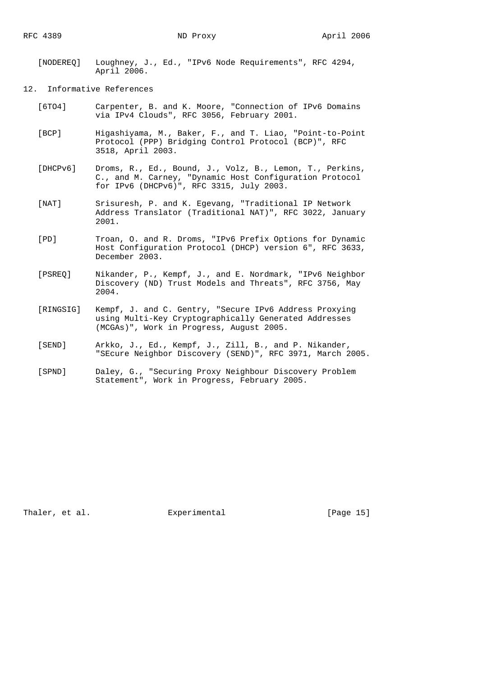- [NODEREQ] Loughney, J., Ed., "IPv6 Node Requirements", RFC 4294, April 2006.
- 12. Informative References
	- [6TO4] Carpenter, B. and K. Moore, "Connection of IPv6 Domains via IPv4 Clouds", RFC 3056, February 2001.
	- [BCP] Higashiyama, M., Baker, F., and T. Liao, "Point-to-Point Protocol (PPP) Bridging Control Protocol (BCP)", RFC 3518, April 2003.
	- [DHCPv6] Droms, R., Ed., Bound, J., Volz, B., Lemon, T., Perkins, C., and M. Carney, "Dynamic Host Configuration Protocol for IPv6 (DHCPv6)", RFC 3315, July 2003.
	- [NAT] Srisuresh, P. and K. Egevang, "Traditional IP Network Address Translator (Traditional NAT)", RFC 3022, January 2001.
	- [PD] Troan, O. and R. Droms, "IPv6 Prefix Options for Dynamic Host Configuration Protocol (DHCP) version 6", RFC 3633, December 2003.
	- [PSREQ] Nikander, P., Kempf, J., and E. Nordmark, "IPv6 Neighbor Discovery (ND) Trust Models and Threats", RFC 3756, May 2004.
	- [RINGSIG] Kempf, J. and C. Gentry, "Secure IPv6 Address Proxying using Multi-Key Cryptographically Generated Addresses (MCGAs)", Work in Progress, August 2005.
	- [SEND] Arkko, J., Ed., Kempf, J., Zill, B., and P. Nikander, "SEcure Neighbor Discovery (SEND)", RFC 3971, March 2005.
	- [SPND] Daley, G., "Securing Proxy Neighbour Discovery Problem Statement", Work in Progress, February 2005.

Thaler, et al. Experimental [Page 15]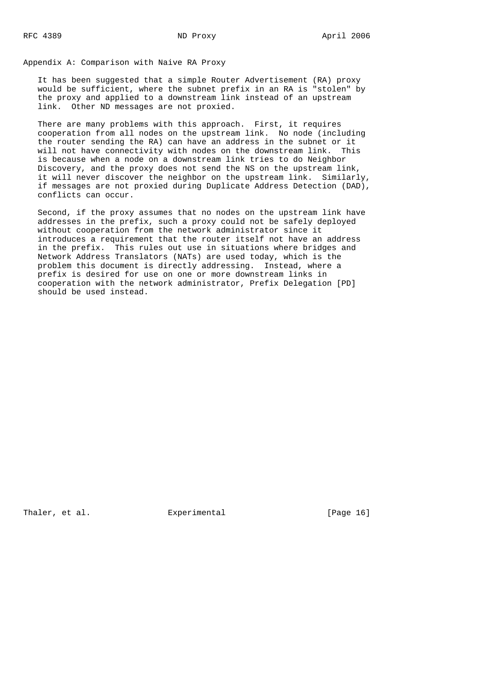Appendix A: Comparison with Naive RA Proxy

 It has been suggested that a simple Router Advertisement (RA) proxy would be sufficient, where the subnet prefix in an RA is "stolen" by the proxy and applied to a downstream link instead of an upstream link. Other ND messages are not proxied.

 There are many problems with this approach. First, it requires cooperation from all nodes on the upstream link. No node (including the router sending the RA) can have an address in the subnet or it will not have connectivity with nodes on the downstream link. This is because when a node on a downstream link tries to do Neighbor Discovery, and the proxy does not send the NS on the upstream link, it will never discover the neighbor on the upstream link. Similarly, if messages are not proxied during Duplicate Address Detection (DAD), conflicts can occur.

 Second, if the proxy assumes that no nodes on the upstream link have addresses in the prefix, such a proxy could not be safely deployed without cooperation from the network administrator since it introduces a requirement that the router itself not have an address in the prefix. This rules out use in situations where bridges and Network Address Translators (NATs) are used today, which is the problem this document is directly addressing. Instead, where a prefix is desired for use on one or more downstream links in cooperation with the network administrator, Prefix Delegation [PD] should be used instead.

Thaler, et al. Experimental [Page 16]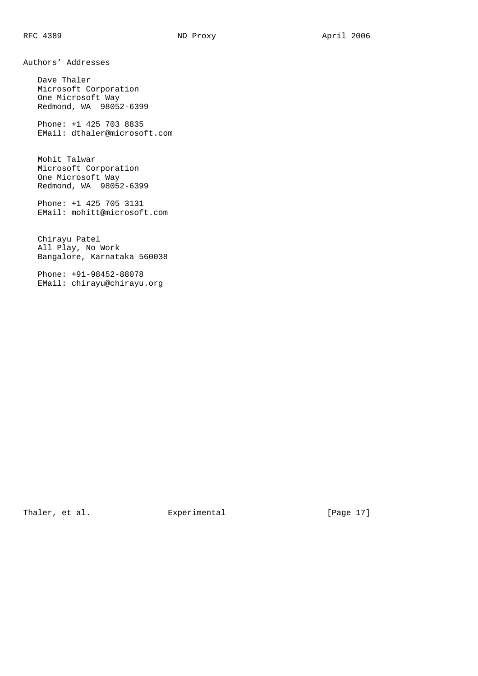Authors' Addresses

 Dave Thaler Microsoft Corporation One Microsoft Way Redmond, WA 98052-6399

 Phone: +1 425 703 8835 EMail: dthaler@microsoft.com

 Mohit Talwar Microsoft Corporation One Microsoft Way Redmond, WA 98052-6399

 Phone: +1 425 705 3131 EMail: mohitt@microsoft.com

 Chirayu Patel All Play, No Work Bangalore, Karnataka 560038

 Phone: +91-98452-88078 EMail: chirayu@chirayu.org

Thaler, et al. Experimental [Page 17]